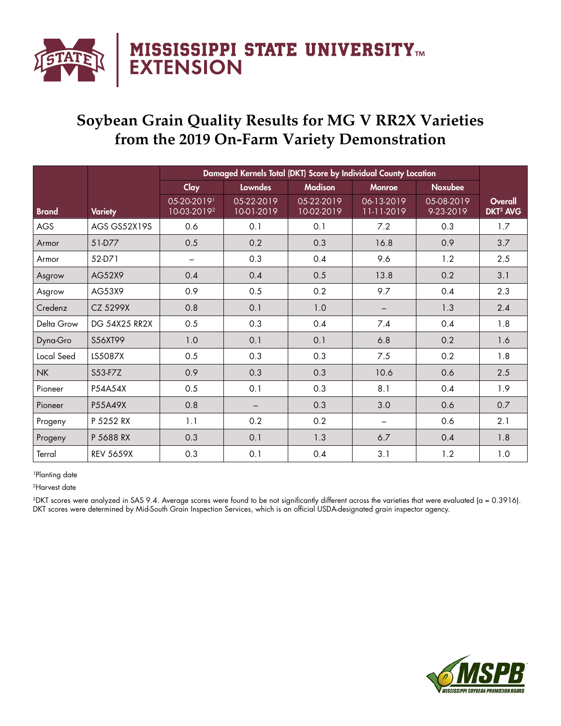

## **Soybean Grain Quality Results for MG V RR2X Varieties from the 2019 On-Farm Variety Demonstration**

|              |                      | Damaged Kernels Total (DKT) Score by Individual County Location |                          |                          |                          |                         |                                       |
|--------------|----------------------|-----------------------------------------------------------------|--------------------------|--------------------------|--------------------------|-------------------------|---------------------------------------|
|              |                      | Clay                                                            | <b>Lowndes</b>           | <b>Madison</b>           | <b>Monroe</b>            | <b>Noxubee</b>          |                                       |
| <b>Brand</b> | <b>Variety</b>       | 05-20-20191<br>10-03-2019 <sup>2</sup>                          | 05-22-2019<br>10-01-2019 | 05-22-2019<br>10-02-2019 | 06-13-2019<br>11-11-2019 | 05-08-2019<br>9-23-2019 | Overall<br><b>DKT<sup>3</sup> AVG</b> |
| <b>AGS</b>   | AGS GS52X19S         | 0.6                                                             | 0.1                      | 0.1                      | 7.2                      | 0.3                     | 1.7                                   |
| Armor        | 51-D77               | 0.5                                                             | 0.2                      | 0.3                      | 16.8                     | 0.9                     | 3.7                                   |
| Armor        | 52-D71               | —                                                               | 0.3                      | 0.4                      | 9.6                      | 1.2                     | 2.5                                   |
| Asgrow       | AG52X9               | 0.4                                                             | 0.4                      | 0.5                      | 13.8                     | 0.2                     | 3.1                                   |
| Asgrow       | AG53X9               | 0.9                                                             | 0.5                      | 0.2                      | 9.7                      | 0.4                     | 2.3                                   |
| Credenz      | CZ 5299X             | 0.8                                                             | 0.1                      | 1.0                      |                          | 1.3                     | 2.4                                   |
| Delta Grow   | <b>DG 54X25 RR2X</b> | 0.5                                                             | 0.3                      | 0.4                      | 7.4                      | 0.4                     | 1.8                                   |
| Dyna-Gro     | S56XT99              | 1.0                                                             | 0.1                      | 0.1                      | 6.8                      | 0.2                     | 1.6                                   |
| Local Seed   | LS5087X              | 0.5                                                             | 0.3                      | 0.3                      | 7.5                      | 0.2                     | 1.8                                   |
| <b>NK</b>    | S53-F7Z              | 0.9                                                             | 0.3                      | 0.3                      | 10.6                     | 0.6                     | 2.5                                   |
| Pioneer      | P54A54X              | 0.5                                                             | 0.1                      | 0.3                      | 8.1                      | 0.4                     | 1.9                                   |
| Pioneer      | P55A49X              | 0.8                                                             |                          | 0.3                      | 3.0                      | 0.6                     | 0.7                                   |
| Progeny      | P 5252 RX            | 1.1                                                             | 0.2                      | 0.2                      |                          | 0.6                     | 2.1                                   |
| Progeny      | P 5688 RX            | 0.3                                                             | 0.1                      | 1.3                      | 6.7                      | 0.4                     | 1.8                                   |
| Terral       | <b>REV 5659X</b>     | 0.3                                                             | 0.1                      | 0.4                      | 3.1                      | 1.2                     | 1.0                                   |

## <sup>1</sup>Planting date

2Harvest date

3DKT scores were analyzed in SAS 9.4. Average scores were found to be not significantly different across the varieties that were evaluated (a = 0.3916). DKT scores were determined by Mid-South Grain Inspection Services, which is an official USDA-designated grain inspector agency.